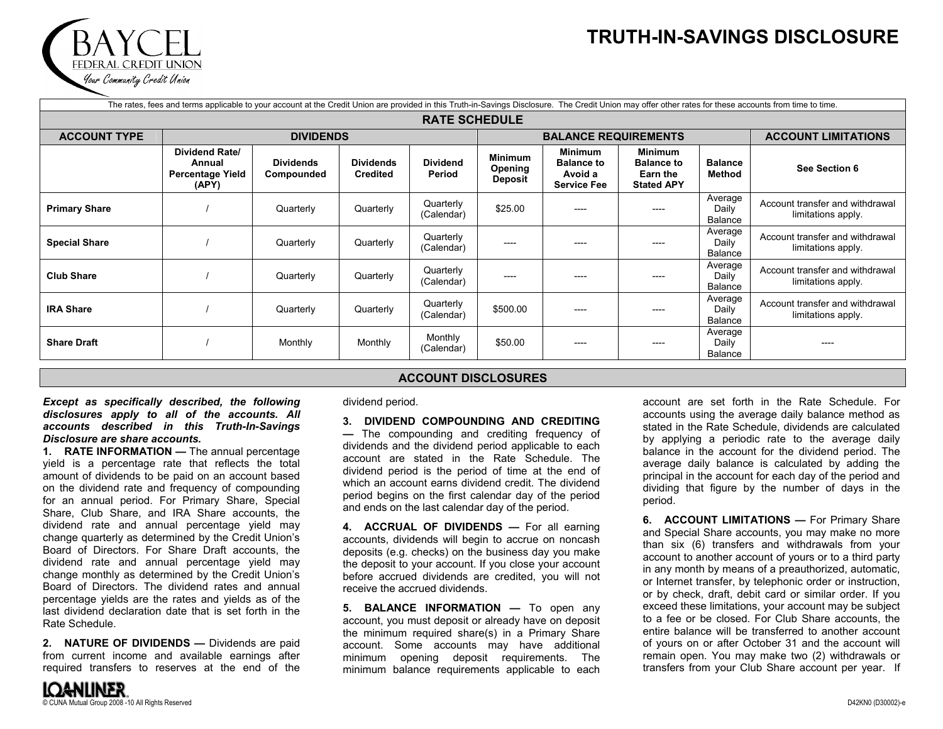## **TRUTH-IN-SAVINGS DISCLOSURE**

| The rates, fees and terms applicable to your account at the Credit Union are provided in this Truth-in-Savings Disclosure. The Credit Union may offer other rates for these accounts from time to time. |                                                                     |                                |                                     |                           |                                                    |                                                                      |                                                                      |                             |                                                       |  |  |
|---------------------------------------------------------------------------------------------------------------------------------------------------------------------------------------------------------|---------------------------------------------------------------------|--------------------------------|-------------------------------------|---------------------------|----------------------------------------------------|----------------------------------------------------------------------|----------------------------------------------------------------------|-----------------------------|-------------------------------------------------------|--|--|
| <b>RATE SCHEDULE</b>                                                                                                                                                                                    |                                                                     |                                |                                     |                           |                                                    |                                                                      |                                                                      |                             |                                                       |  |  |
| <b>ACCOUNT TYPE</b>                                                                                                                                                                                     | <b>DIVIDENDS</b>                                                    |                                |                                     |                           |                                                    | <b>BALANCE REQUIREMENTS</b>                                          | <b>ACCOUNT LIMITATIONS</b>                                           |                             |                                                       |  |  |
|                                                                                                                                                                                                         | <b>Dividend Rate/</b><br>Annual<br><b>Percentage Yield</b><br>(APY) | <b>Dividends</b><br>Compounded | <b>Dividends</b><br><b>Credited</b> | <b>Dividend</b><br>Period | <b>Minimum</b><br><b>Opening</b><br><b>Deposit</b> | <b>Minimum</b><br><b>Balance to</b><br>Avoid a<br><b>Service Fee</b> | <b>Minimum</b><br><b>Balance to</b><br>Earn the<br><b>Stated APY</b> | <b>Balance</b><br>Method    | See Section 6                                         |  |  |
| <b>Primary Share</b>                                                                                                                                                                                    |                                                                     | Quarterly                      | Quarterly                           | Quarterly<br>(Calendar)   | \$25.00                                            | ----                                                                 | ----                                                                 | Average<br>Daily<br>Balance | Account transfer and withdrawal<br>limitations apply. |  |  |
| <b>Special Share</b>                                                                                                                                                                                    |                                                                     | Quarterly                      | Quarterly                           | Quarterly<br>(Calendar)   | $---$                                              |                                                                      |                                                                      | Average<br>Daily<br>Balance | Account transfer and withdrawal<br>limitations apply. |  |  |
| <b>Club Share</b>                                                                                                                                                                                       |                                                                     | Quarterly                      | Quarterly                           | Quarterly<br>(Calendar)   | $---$                                              | ----                                                                 | ----                                                                 | Average<br>Daily<br>Balance | Account transfer and withdrawal<br>limitations apply. |  |  |
| <b>IRA Share</b>                                                                                                                                                                                        |                                                                     | Quarterly                      | Quarterly                           | Quarterly<br>(Calendar)   | \$500.00                                           | ----                                                                 | ----                                                                 | Average<br>Daily<br>Balance | Account transfer and withdrawal<br>limitations apply. |  |  |
| <b>Share Draft</b>                                                                                                                                                                                      |                                                                     | Monthly                        | Monthly                             | Monthly<br>(Calendar)     | \$50.00                                            | ----                                                                 | ----                                                                 | Average<br>Daily<br>Balance |                                                       |  |  |

## **ACCOUNT DISCLOSURES**

*Except as specifically described, the following disclosures apply to all of the accounts. All accounts described in this Truth-In-Savings Disclosure are share accounts.* 

FEDERAL CREDIT UNION Your Commanity Credit Union

**1. RATE INFORMATION —** The annual percentage yield is a percentage rate that reflects the total amount of dividends to be paid on an account based on the dividend rate and frequency of compounding for an annual period. For Primary Share, Special Share, Club Share, and IRA Share accounts, the dividend rate and annual percentage yield may change quarterly as determined by the Credit Union's Board of Directors. For Share Draft accounts, the dividend rate and annual percentage yield may change monthly as determined by the Credit Union's Board of Directors. The dividend rates and annualpercentage yields are the rates and yields as of the last dividend declaration date that is set forth in theRate Schedule.

**2. NATURE OF DIVIDENDS —** Dividends are paid from current income and available earnings after required transfers to reserves at the end of the

dividend period.

**3. DIVIDEND COMPOUNDING AND CREDITING**

**—** The compounding and crediting frequency of dividends and the dividend period applicable to each account are stated in the Rate Schedule. Thedividend period is the period of time at the end of which an account earns dividend credit. The dividend period begins on the first calendar day of the period and ends on the last calendar day of the period.

**4. ACCRUAL OF DIVIDENDS —** For all earning accounts, dividends will begin to accrue on noncash deposits (e.g. checks) on the business day you make the deposit to your account. If you close your account before accrued dividends are credited, you will not receive the accrued dividends.

**5. BALANCE INFORMATION —** To open any account, you must deposit or already have on deposit the minimum required share(s) in a Primary Share account. Some accounts may have additional minimum opening deposit requirements. The minimum balance requirements applicable to each

account are set forth in the Rate Schedule. For accounts using the average daily balance method as stated in the Rate Schedule, dividends are calculated by applying a periodic rate to the average daily balance in the account for the dividend period. The average daily balance is calculated by adding the principal in the account for each day of the period and dividing that figure by the number of days in the period.

**6. ACCOUNT LIMITATIONS —** For Primary Share and Special Share accounts, you may make no more than six (6) transfers and withdrawals from your account to another account of yours or to a third party in any month by means of a preauthorized, automatic, or Internet transfer, by telephonic order or instruction, or by check, draft, debit card or similar order. If you exceed these limitations, your account may be subject to a fee or be closed. For Club Share accounts, the entire balance will be transferred to another accountof yours on or after October 31 and the account will remain open. You may make two (2) withdrawals or transfers from your Club Share account per year. If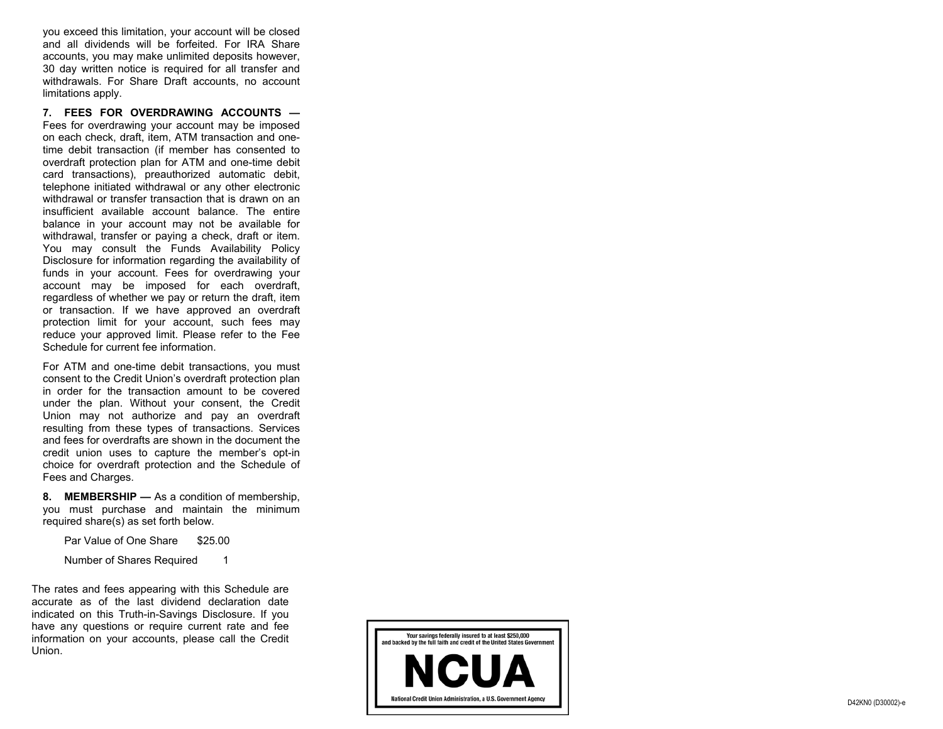you exceed this limitation, your account will be closed and all dividends will be forfeited. For IRA Share accounts, you may make unlimited deposits however, 30 day written notice is required for all transfer and withdrawals. For Share Draft accounts, no account limitations apply.

**7. FEES FOR OVERDRAWING ACCOUNTS —** Fees for overdrawing your account may be imposed on each check, draft, item, ATM transaction and onetime debit transaction (if member has consented to overdraft protection plan for ATM and one-time debit card transactions), preauthorized automatic debit, telephone initiated withdrawal or any other electronic withdrawal or transfer transaction that is drawn on an insufficient available account balance. The entirebalance in your account may not be available for withdrawal, transfer or paying a check, draft or item. You may consult the Funds Availability Policy Disclosure for information regarding the availability of funds in your account. Fees for overdrawing your account may be imposed for each overdraft, regardless of whether we pay or return the draft, item or transaction. If we have approved an overdraft protection limit for your account, such fees may reduce your approved limit. Please refer to the Fee Schedule for current fee information.

For ATM and one-time debit transactions, you must consent to the Credit Union's overdraft protection plan in order for the transaction amount to be covered under the plan. Without your consent, the Credit Union may not authorize and pay an overdraft resulting from these types of transactions. Services and fees for overdrafts are shown in the document the credit union uses to capture the member's opt-in choice for overdraft protection and the Schedule of Fees and Charges.

**8. MEMBERSHIP —** As a condition of membership, you must purchase and maintain the minimum required share(s) as set forth below.

Par Value of One Share \$25.00

Number of Shares Required 1

The rates and fees appearing with this Schedule are accurate as of the last dividend declaration date indicated on this Truth-in-Savings Disclosure. If you have any questions or require current rate and fee information on your accounts, please call the Credit Union.

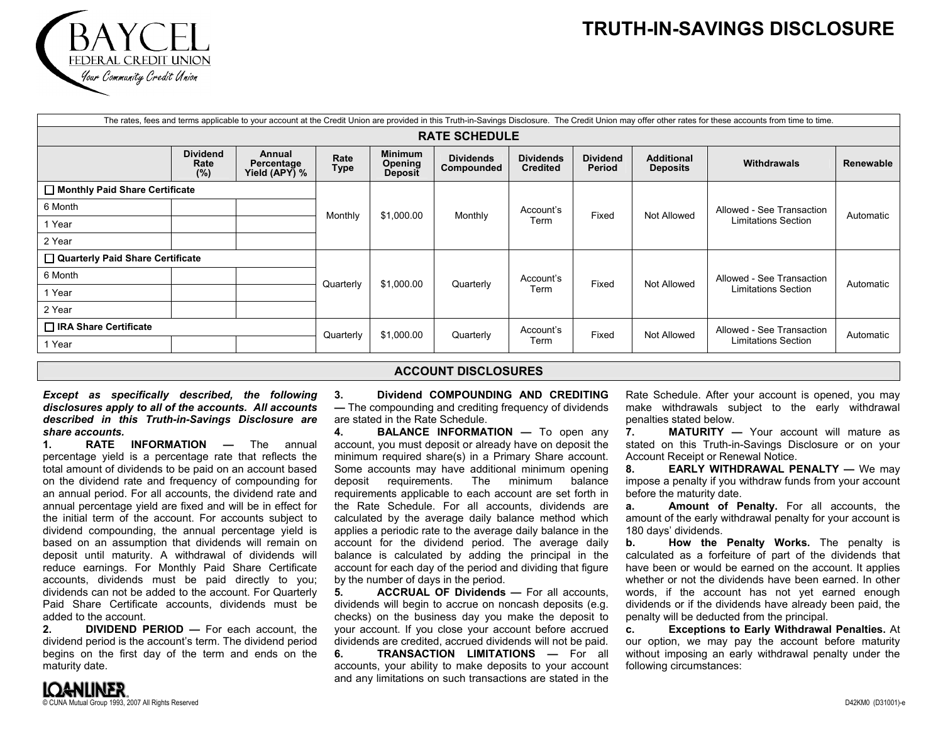## **TRUTH-IN-SAVINGS DISCLOSURE**



|                                       |                                |                                       |              |                                             |                                |                                     |                           |                                      | The rates, fees and terms applicable to your account at the Credit Union are provided in this Truth-in-Savings Disclosure. The Credit Union may offer other rates for these accounts from time to time. |           |  |  |
|---------------------------------------|--------------------------------|---------------------------------------|--------------|---------------------------------------------|--------------------------------|-------------------------------------|---------------------------|--------------------------------------|---------------------------------------------------------------------------------------------------------------------------------------------------------------------------------------------------------|-----------|--|--|
| <b>RATE SCHEDULE</b>                  |                                |                                       |              |                                             |                                |                                     |                           |                                      |                                                                                                                                                                                                         |           |  |  |
|                                       | <b>Dividend</b><br>Rate<br>(%) | Annual<br>Percentage<br>Yield (APY) % | Rate<br>Type | <b>Minimum</b><br>Opening<br><b>Deposit</b> | <b>Dividends</b><br>Compounded | <b>Dividends</b><br><b>Credited</b> | <b>Dividend</b><br>Period | <b>Additional</b><br><b>Deposits</b> | <b>Withdrawals</b>                                                                                                                                                                                      | Renewable |  |  |
| $\Box$ Monthly Paid Share Certificate |                                |                                       |              |                                             |                                |                                     |                           |                                      |                                                                                                                                                                                                         |           |  |  |
| 6 Month                               |                                |                                       | Monthly      | \$1,000.00                                  | Monthly                        | Account's<br>Term                   | Fixed                     | Not Allowed                          | Allowed - See Transaction<br>Limitations Section                                                                                                                                                        | Automatic |  |  |
| 1 Year                                |                                |                                       |              |                                             |                                |                                     |                           |                                      |                                                                                                                                                                                                         |           |  |  |
| 2 Year                                |                                |                                       |              |                                             |                                |                                     |                           |                                      |                                                                                                                                                                                                         |           |  |  |
| Quarterly Paid Share Certificate      |                                |                                       |              |                                             |                                |                                     |                           |                                      |                                                                                                                                                                                                         |           |  |  |
| 6 Month                               |                                |                                       | Quarterly    | \$1,000.00                                  | Quarterly                      | Account's<br>Term                   | Fixed                     | Not Allowed                          | Allowed - See Transaction<br><b>Limitations Section</b>                                                                                                                                                 | Automatic |  |  |
| 1 Year                                |                                |                                       |              |                                             |                                |                                     |                           |                                      |                                                                                                                                                                                                         |           |  |  |
| 2 Year                                |                                |                                       |              |                                             |                                |                                     |                           |                                      |                                                                                                                                                                                                         |           |  |  |
| □ IRA Share Certificate               |                                |                                       | \$1,000.00   | Quarterly                                   | Account's                      | Fixed                               | Not Allowed               | Allowed - See Transaction            | Automatic                                                                                                                                                                                               |           |  |  |
| 1 Year                                |                                |                                       | Quarterly    |                                             |                                | Term                                |                           |                                      | Limitations Section                                                                                                                                                                                     |           |  |  |

## **ACCOUNT DISCLOSURES**

*Except as specifically described, the following disclosures apply to all of the accounts. All accounts described in this Truth-in-Savings Disclosure are share accounts.* 

**1. RATE INFORMATION —** The annual percentage yield is a percentage rate that reflects the total amount of dividends to be paid on an account based on the dividend rate and frequency of compounding for an annual period. For all accounts, the dividend rate and annual percentage yield are fixed and will be in effect for the initial term of the account. For accounts subject to dividend compounding, the annual percentage yield is based on an assumption that dividends will remain on deposit until maturity. A withdrawal of dividends will reduce earnings. For Monthly Paid Share Certificate accounts, dividends must be paid directly to you; dividends can not be added to the account. For Quarterly Paid Share Certificate accounts, dividends must be added to the account.

**2. DIVIDEND PERIOD —** For each account, the dividend period is the account's term. The dividend period begins on the first day of the term and ends on the maturity date.

**3. Dividend COMPOUNDING AND CREDITING—** The compounding and crediting frequency of dividends are stated in the Rate Schedule.

 **4. BALANCE INFORMATION —** To open any account, you must deposit or already have on deposit the minimum required share(s) in a Primary Share account. Some accounts may have additional minimum opening deposit requirements. The minimum balance requirements applicable to each account are set forth in the Rate Schedule. For all accounts, dividends are calculated by the average daily balance method which applies a periodic rate to the average daily balance in the account for the dividend period. The average daily balance is calculated by adding the principal in the account for each day of the period and dividing that figure by the number of days in the period.

**5. ACCRUAL OF Dividends —** For all accounts, dividends will begin to accrue on noncash deposits (e.g. checks) on the business day you make the deposit to your account. If you close your account before accrued dividends are credited, accrued dividends will not be paid.

**6. TRANSACTION LIMITATIONS —** For allaccounts, your ability to make deposits to your account and any limitations on such transactions are stated in the

Rate Schedule. After your account is opened, you may make withdrawals subject to the early withdrawal penalties stated below.

**7. MATURITY —** Your account will mature asstated on this Truth-in-Savings Disclosure or on your Account Receipt or Renewal Notice.

**8. EARLY WITHDRAWAL PENALTY —** We may impose a penalty if you withdraw funds from your account before the maturity date.

**a. Amount of Penalty.** For all accounts, the amount of the early withdrawal penalty for your account is 180 days' dividends.

**b. How the Penalty Works.** The penalty is calculated as a forfeiture of part of the dividends that have been or would be earned on the account. It applies whether or not the dividends have been earned. In otherwords, if the account has not yet earned enough dividends or if the dividends have already been paid, the penalty will be deducted from the principal.

**c. Exceptions to Early Withdrawal Penalties.** At our option, we may pay the account before maturity without imposing an early withdrawal penalty under the following circumstances: